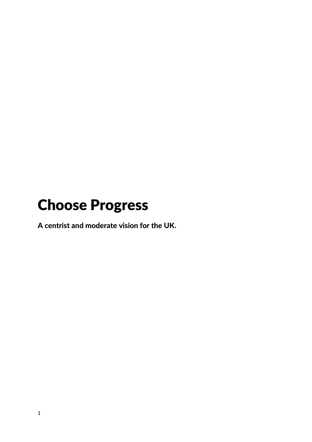# <span id="page-0-0"></span>Choose Progress

A centrist and moderate vision for the UK.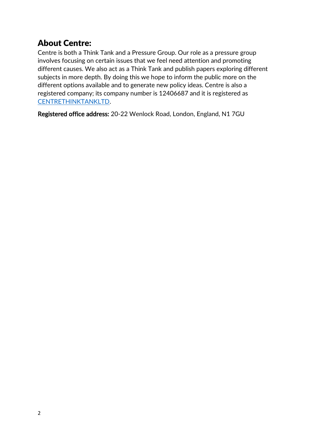# <span id="page-1-0"></span>About Centre:

Centre is both a Think Tank and a Pressure Group. Our role as a pressure group involves focusing on certain issues that we feel need attention and promoting different causes. We also act as a Think Tank and publish papers exploring different subjects in more depth. By doing this we hope to inform the public more on the different options available and to generate new policy ideas. Centre is also a registered company; its company number is 12406687 and it is registered as [CENTRETHINKTANKLTD.](https://beta.companieshouse.gov.uk/company/12406687)

Registered office address: 20-22 Wenlock Road, London, England, N1 7GU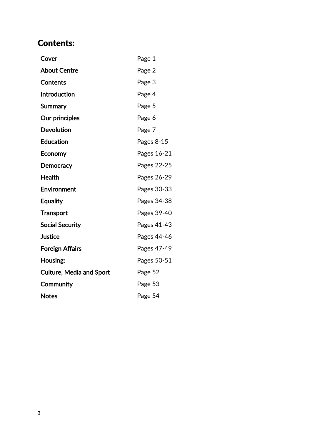# Contents:

| Cover                           | Page 1      |
|---------------------------------|-------------|
| <b>About Centre</b>             | Page 2      |
| Contents                        | Page 3      |
| Introduction                    | Page 4      |
| Summary                         | Page 5      |
| Our principles                  | Page 6      |
| <b>Devolution</b>               | Page 7      |
| <b>Education</b>                | Pages 8-15  |
| Economy                         | Pages 16-21 |
| <b>Democracy</b>                | Pages 22-25 |
| <b>Health</b>                   | Pages 26-29 |
| Environment                     | Pages 30-33 |
| <b>Equality</b>                 | Pages 34-38 |
| <b>Transport</b>                | Pages 39-40 |
| <b>Social Security</b>          | Pages 41-43 |
| <b>Justice</b>                  | Pages 44-46 |
| <b>Foreign Affairs</b>          | Pages 47-49 |
| Housing:                        | Pages 50-51 |
| <b>Culture, Media and Sport</b> | Page 52     |
| Community                       | Page 53     |
| <b>Notes</b>                    | Page 54     |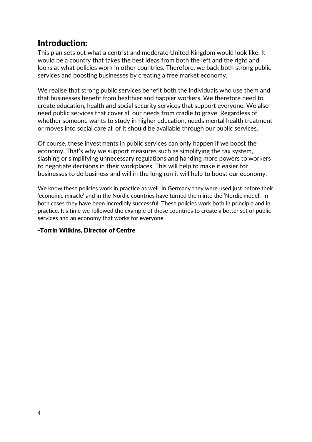### <span id="page-3-0"></span>Introduction:

This plan sets out what a centrist and moderate United Kingdom would look like. It would be a country that takes the best ideas from both the left and the right and looks at what policies work in other countries. Therefore, we back both strong public services and boosting businesses by creating a free market economy.

We realise that strong public services benefit both the individuals who use them and that businesses benefit from healthier and happier workers. We therefore need to create education, health and social security services that support everyone. We also need public services that cover all our needs from cradle to grave. Regardless of whether someone wants to study in higher education, needs mental health treatment or moves into social care all of it should be available through our public services.

Of course, these investments in public services can only happen if we boost the economy. That's why we support measures such as simplifying the tax system, slashing or simplifying unnecessary regulations and handing more powers to workers to negotiate decisions in their workplaces. This will help to make it easier for businesses to do business and will in the long run it will help to boost our economy.

We know these policies work in practice as well. In Germany they were used just before their 'economic miracle' and in the Nordic countries have turned them into the 'Nordic model'. In both cases they have been incredibly successful. These policies work both in principle and in practice. It's time we followed the example of these countries to create a better set of public services and an economy that works for everyone.

#### -Torrin Wilkins, Director of Centre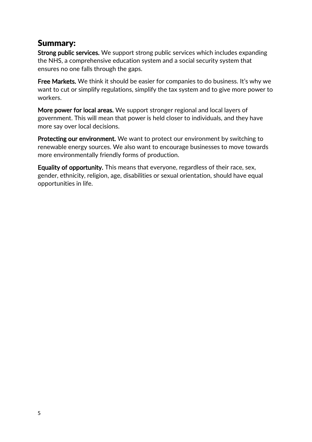#### <span id="page-4-0"></span>Summary:

Strong public services. We support strong public services which includes expanding the NHS, a comprehensive education system and a social security system that ensures no one falls through the gaps.

Free Markets. We think it should be easier for companies to do business. It's why we want to cut or simplify regulations, simplify the tax system and to give more power to workers.

More power for local areas. We support stronger regional and local layers of government. This will mean that power is held closer to individuals, and they have more say over local decisions.

Protecting our environment. We want to protect our environment by switching to renewable energy sources. We also want to encourage businesses to move towards more environmentally friendly forms of production.

Equality of opportunity. This means that everyone, regardless of their race, sex, gender, ethnicity, religion, age, disabilities or sexual orientation, should have equal opportunities in life.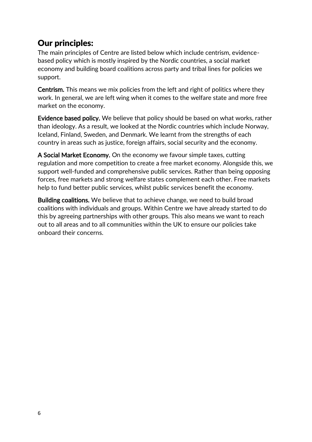### <span id="page-5-0"></span>Our principles:

The main principles of Centre are listed below which include centrism, evidencebased policy which is mostly inspired by the Nordic countries, a social market economy and building board coalitions across party and tribal lines for policies we support.

Centrism. This means we mix policies from the left and right of politics where they work. In general, we are left wing when it comes to the welfare state and more free market on the economy.

Evidence based policy. We believe that policy should be based on what works, rather than ideology. As a result, we looked at the Nordic countries which include Norway, Iceland, Finland, Sweden, and Denmark. We learnt from the strengths of each country in areas such as justice, foreign affairs, social security and the economy.

A Social Market Economy. On the economy we favour simple taxes, cutting regulation and more competition to create a free market economy. Alongside this, we support well-funded and comprehensive public services. Rather than being opposing forces, free markets and strong welfare states complement each other. Free markets help to fund better public services, whilst public services benefit the economy.

Building coalitions. We believe that to achieve change, we need to build broad coalitions with individuals and groups. Within Centre we have already started to do this by agreeing partnerships with other groups. This also means we want to reach out to all areas and to all communities within the UK to ensure our policies take onboard their concerns.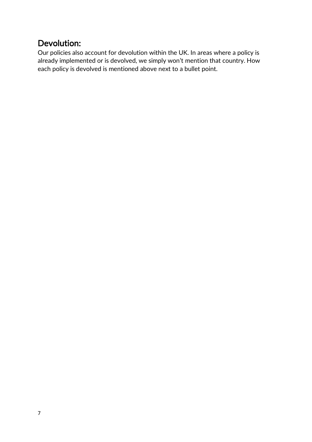# <span id="page-6-0"></span>Devolution:

Our policies also account for devolution within the UK. In areas where a policy is already implemented or is devolved, we simply won't mention that country. How each policy is devolved is mentioned above next to a bullet point.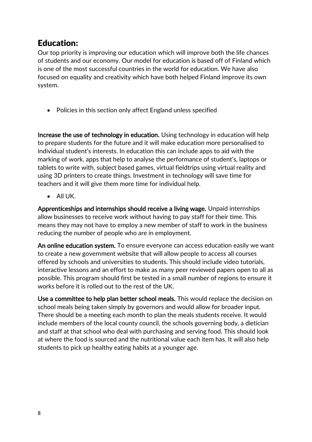### <span id="page-7-0"></span>Education:

Our top priority is improving our education which will improve both the life chances of students and our economy. Our model for education is based off of Finland which is one of the most successful countries in the world for education. We have also focused on equality and creativity which have both helped Finland improve its own system.

• Policies in this section only affect England unless specified

Increase the use of technology in education. Using technology in education will help to prepare students for the future and it will make education more personalised to individual student's interests. In education this can include apps to aid with the marking of work, apps that help to analyse the performance of student's, laptops or tablets to write with, subject based games, virtual fieldtrips using virtual reality and using 3D printers to create things. Investment in technology will save time for teachers and it will give them more time for individual help.

• All UK.

Apprenticeships and internships should receive a living wage. Unpaid internships allow businesses to receive work without having to pay staff for their time. This means they may not have to employ a new member of staff to work in the business reducing the number of people who are in employment.

An online education system. To ensure everyone can access education easily we want to create a new government website that will allow people to access all courses offered by schools and universities to students. This should include video tutorials, interactive lessons and an effort to make as many peer reviewed papers open to all as possible. This program should first be tested in a small number of regions to ensure it works before it is rolled out to the rest of the UK.

Use a committee to help plan better school meals. This would replace the decision on school meals being taken simply by governors and would allow for broader input. There should be a meeting each month to plan the meals students receive. It would include members of the local county council, the schools governing body, a dietician and staff at that school who deal with purchasing and serving food. This should look at where the food is sourced and the nutritional value each item has. It will also help students to pick up healthy eating habits at a younger age.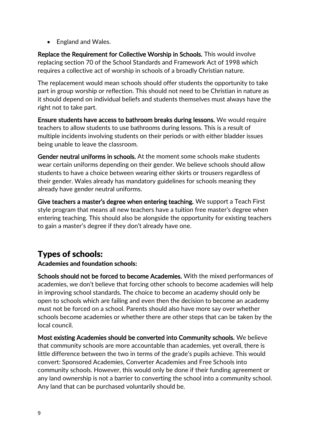• England and Wales.

Replace the Requirement for Collective Worship in Schools. This would involve replacing section 70 of the School Standards and Framework Act of 1998 which requires a collective act of worship in schools of a broadly Christian nature.

The replacement would mean schools should offer students the opportunity to take part in group worship or reflection. This should not need to be Christian in nature as it should depend on individual beliefs and students themselves must always have the right not to take part.

Ensure students have access to bathroom breaks during lessons. We would require teachers to allow students to use bathrooms during lessons. This is a result of multiple incidents involving students on their periods or with either bladder issues being unable to leave the classroom.

Gender neutral uniforms in schools. At the moment some schools make students wear certain uniforms depending on their gender. We believe schools should allow students to have a choice between wearing either skirts or trousers regardless of their gender. Wales already has mandatory guidelines for schools meaning they already have gender neutral uniforms.

Give teachers a master's degree when entering teaching. We support a Teach First style program that means all new teachers have a tuition free master's degree when entering teaching. This should also be alongside the opportunity for existing teachers to gain a master's degree if they don't already have one.

# Types of schools:

#### Academies and foundation schools:

Schools should not be forced to become Academies. With the mixed performances of academies, we don't believe that forcing other schools to become academies will help in improving school standards. The choice to become an academy should only be open to schools which are failing and even then the decision to become an academy must not be forced on a school. Parents should also have more say over whether schools become academies or whether there are other steps that can be taken by the local council.

Most existing Academies should be converted into Community schools. We believe that community schools are more accountable than academies, yet overall, there is little difference between the two in terms of the grade's pupils achieve. This would convert: Sponsored Academies, Converter Academies and Free Schools into community schools. However, this would only be done if their funding agreement or any land ownership is not a barrier to converting the school into a community school. Any land that can be purchased voluntarily should be.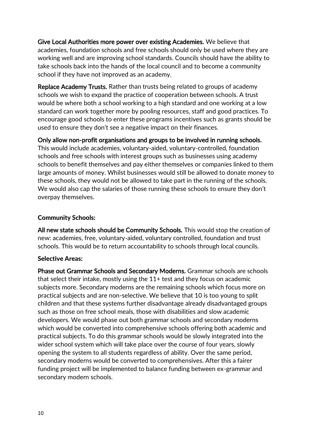Give Local Authorities more power over existing Academies. We believe that academies, foundation schools and free schools should only be used where they are working well and are improving school standards. Councils should have the ability to take schools back into the hands of the local council and to become a community school if they have not improved as an academy.

Replace Academy Trusts. Rather than trusts being related to groups of academy schools we wish to expand the practice of cooperation between schools. A trust would be where both a school working to a high standard and one working at a low standard can work together more by pooling resources, staff and good practices. To encourage good schools to enter these programs incentives such as grants should be used to ensure they don't see a negative impact on their finances.

Only allow non-profit organisations and groups to be involved in running schools. This would include academies, voluntary-aided, voluntary-controlled, foundation schools and free schools with interest groups such as businesses using academy schools to benefit themselves and pay either themselves or companies linked to them large amounts of money. Whilst businesses would still be allowed to donate money to these schools, they would not be allowed to take part in the running of the schools. We would also cap the salaries of those running these schools to ensure they don't overpay themselves.

#### Community Schools:

All new state schools should be Community Schools. This would stop the creation of new: academies, free, voluntary-aided, voluntary controlled, foundation and trust schools. This would be to return accountability to schools through local councils.

#### Selective Areas:

Phase out Grammar Schools and Secondary Moderns. Grammar schools are schools that select their intake, mostly using the 11+ test and they focus on academic subjects more. Secondary moderns are the remaining schools which focus more on practical subjects and are non-selective. We believe that 10 is too young to split children and that these systems further disadvantage already disadvantaged groups such as those on free school meals, those with disabilities and slow academic developers. We would phase out both grammar schools and secondary moderns which would be converted into comprehensive schools offering both academic and practical subjects. To do this grammar schools would be slowly integrated into the wider school system which will take place over the course of four years, slowly opening the system to all students regardless of ability. Over the same period, secondary moderns would be converted to comprehensives. After this a fairer funding project will be implemented to balance funding between ex-grammar and secondary modern schools.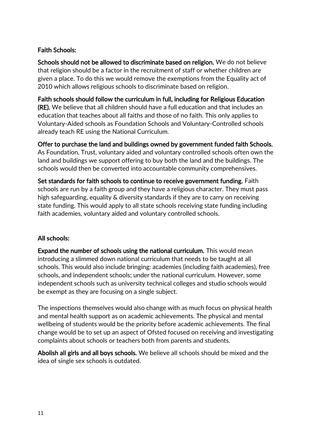#### Faith Schools:

Schools should not be allowed to discriminate based on religion. We do not believe that religion should be a factor in the recruitment of staff or whether children are given a place. To do this we would remove the exemptions from the Equality act of 2010 which allows religious schools to discriminate based on religion.

Faith schools should follow the curriculum in full, including for Religious Education (RE). We believe that all children should have a full education and that includes an education that teaches about all faiths and those of no faith. This only applies to Voluntary-Aided schools as Foundation Schools and Voluntary-Controlled schools already teach RE using the National Curriculum.

Offer to purchase the land and buildings owned by government funded faith Schools. As Foundation, Trust, voluntary aided and voluntary controlled schools often own the land and buildings we support offering to buy both the land and the buildings. The schools would then be converted into accountable community comprehensives.

Set standards for faith schools to continue to receive government funding. Faith schools are run by a faith group and they have a religious character. They must pass high safeguarding, equality & diversity standards if they are to carry on receiving state funding. This would apply to all state schools receiving state funding including faith academies, voluntary aided and voluntary controlled schools.

#### All schools:

Expand the number of schools using the national curriculum. This would mean introducing a slimmed down national curriculum that needs to be taught at all schools. This would also include bringing: academies (including faith academies), free schools, and independent schools; under the national curriculum. However, some independent schools such as university technical colleges and studio schools would be exempt as they are focusing on a single subject.

The inspections themselves would also change with as much focus on physical health and mental health support as on academic achievements. The physical and mental wellbeing of students would be the priority before academic achievements. The final change would be to set up an aspect of Ofsted focused on receiving and investigating complaints about schools or teachers both from parents and students.

Abolish all girls and all boys schools. We believe all schools should be mixed and the idea of single sex schools is outdated.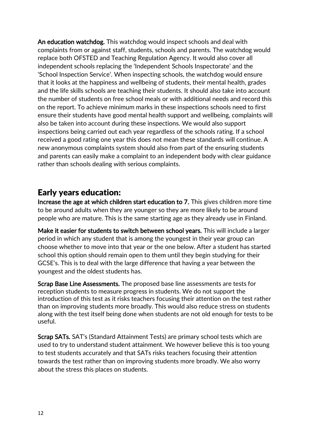An education watchdog. This watchdog would inspect schools and deal with complaints from or against staff, students, schools and parents. The watchdog would replace both OFSTED and Teaching Regulation Agency. It would also cover all independent schools replacing the 'Independent Schools Inspectorate' and the 'School Inspection Service'. When inspecting schools, the watchdog would ensure that it looks at the happiness and wellbeing of students, their mental health, grades and the life skills schools are teaching their students. It should also take into account the number of students on free school meals or with additional needs and record this on the report. To achieve minimum marks in these inspections schools need to first ensure their students have good mental health support and wellbeing, complaints will also be taken into account during these inspections. We would also support inspections being carried out each year regardless of the schools rating. If a school received a good rating one year this does not mean these standards will continue. A new anonymous complaints system should also from part of the ensuring students and parents can easily make a complaint to an independent body with clear guidance rather than schools dealing with serious complaints.

#### Early years education:

Increase the age at which children start education to 7. This gives children more time to be around adults when they are younger so they are more likely to be around people who are mature. This is the same starting age as they already use in Finland.

Make it easier for students to switch between school years. This will include a larger period in which any student that is among the youngest in their year group can choose whether to move into that year or the one below. After a student has started school this option should remain open to them until they begin studying for their GCSE's. This is to deal with the large difference that having a year between the youngest and the oldest students has.

Scrap Base Line Assessments. The proposed base line assessments are tests for reception students to measure progress in students. We do not support the introduction of this test as it risks teachers focusing their attention on the test rather than on improving students more broadly. This would also reduce stress on students along with the test itself being done when students are not old enough for tests to be useful.

Scrap SATs. SAT's (Standard Attainment Tests) are primary school tests which are used to try to understand student attainment. We however believe this is too young to test students accurately and that SATs risks teachers focusing their attention towards the test rather than on improving students more broadly. We also worry about the stress this places on students.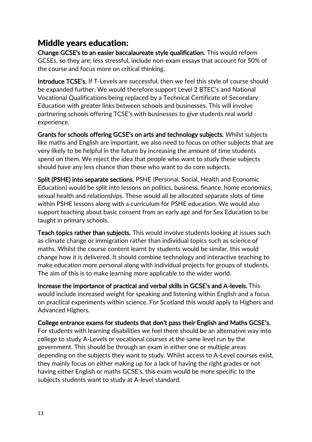#### Middle years education:

Change GCSE's to an easier baccalaureate style qualification. This would reform GCSEs, so they are; less stressful, include non-exam essays that account for 50% of the course and focus more on critical thinking.

Introduce TCSE's. If T-Levels are successful, then we feel this style of course should be expanded further. We would therefore support Level 2 BTEC's and National Vocational Qualifications being replaced by a Technical Certificate of Secondary Education with greater links between schools and businesses. This will involve partnering schools offering TCSE's with businesses to give students real world experience.

Grants for schools offering GCSE's on arts and technology subjects. Whilst subjects like maths and English are important, we also need to focus on other subjects that are very likely to be helpful in the future by increasing the amount of time students spend on them. We reject the idea that people who want to study these subjects should have any less chance than those who want to do core subjects.

Split (PSHE) into separate sections. PSHE (Personal, Social, Health and Economic Education) would be split into lessons on politics, business, finance, home economics, sexual health and relationships. These would all be allocated separate slots of time within PSHE lessons along with a curriculum for PSHE education. We would also support teaching about basic consent from an early age and for Sex Education to be taught in primary schools.

Teach topics rather than subjects. This would involve students looking at issues such as climate change or immigration rather than individual topics such as science of maths. Whilst the course content learnt by students would be similar, this would change how it is delivered. It should combine technology and interactive teaching to make education more personal along with individual projects for groups of students. The aim of this is to make learning more applicable to the wider world.

Increase the importance of practical and verbal skills in GCSE's and A-levels. This would include increased weight for speaking and listening within English and a focus on practical experiments within science. For Scotland this would apply to Highers and Advanced Highers.

College entrance exams for students that don't pass their English and Maths GCSE's. For students with learning disabilities we feel there should be an alternative way into college to study A-Levels or vocational courses at the same level run by the government. This should be through an exam in either one or multiple areas depending on the subjects they want to study. Whilst access to A-Level courses exist, they mainly focus on either making up for a lack of having the right grades or not having either English or maths GCSE's, this exam would be more specific to the subjects students want to study at A-level standard.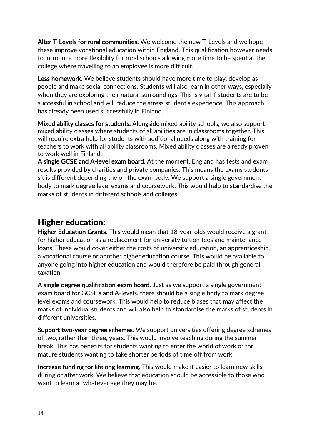Alter T-Levels for rural communities. We welcome the new T-Levels and we hope these improve vocational education within England. This qualification however needs to introduce more flexibility for rural schools allowing more time to be spent at the college where travelling to an employee is more difficult.

Less homework. We believe students should have more time to play, develop as people and make social connections. Students will also learn in other ways, especially when they are exploring their natural surroundings. This is vital if students are to be successful in school and will reduce the stress student's experience. This approach has already been used successfully in Finland.

Mixed ability classes for students. Alongside mixed ability schools, we also support mixed ability classes where students of all abilities are in classrooms together. This will require extra help for students with additional needs along with training for teachers to work with all ability classrooms. Mixed ability classes are already proven to work well in Finland.

A single GCSE and A-level exam board. At the moment, England has tests and exam results provided by charities and private companies. This means the exams students sit is different depending the on the exam body. We support a single government body to mark degree level exams and coursework. This would help to standardise the marks of students in different schools and colleges.

# Higher education:

Higher Education Grants. This would mean that 18-year-olds would receive a grant for higher education as a replacement for university tuition fees and maintenance loans. These would cover either the costs of university education, an apprenticeship, a vocational course or another higher education course. This would be available to anyone going into higher education and would therefore be paid through general taxation.

A single degree qualification exam board. Just as we support a single government exam board for GCSE's and A-levels, there should be a single body to mark degree level exams and coursework. This would help to reduce biases that may affect the marks of individual students and will also help to standardise the marks of students in different universities.

Support two-year degree schemes. We support universities offering degree schemes of two, rather than three, years. This would involve teaching during the summer break. This has benefits for students wanting to enter the world of work or for mature students wanting to take shorter periods of time off from work.

Increase funding for lifelong learning. This would make it easier to learn new skills during or after work. We believe that education should be accessible to those who want to learn at whatever age they may be.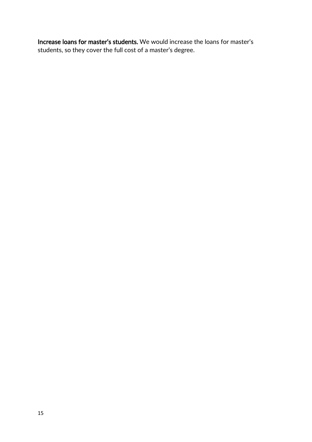Increase loans for master's students. We would increase the loans for master's students, so they cover the full cost of a master's degree.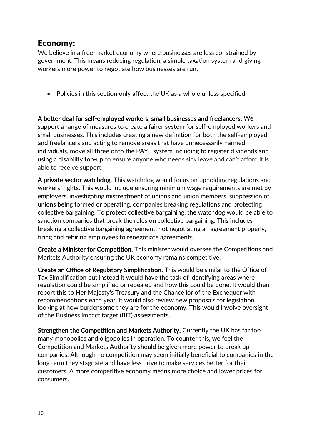#### <span id="page-15-0"></span>Economy:

We believe in a free-market economy where businesses are less constrained by government. This means reducing regulation, a simple taxation system and giving workers more power to negotiate how businesses are run.

• Policies in this section only affect the UK as a whole unless specified.

A better deal for self-employed workers, small businesses and freelancers. We support a range of measures to create a fairer system for self-employed workers and small businesses. This includes creating a new definition for both the self-employed and freelancers and acting to remove areas that have unnecessarily harmed individuals, move all three onto the PAYE system including to register dividends and using a disability top-up to ensure anyone who needs sick leave and can't afford it is able to receive support.

A private sector watchdog. This watchdog would focus on upholding regulations and workers' rights. This would include ensuring minimum wage requirements are met by employers, investigating mistreatment of unions and union members, suppression of unions being formed or operating, companies breaking regulations and protecting collective bargaining. To protect collective bargaining, the watchdog would be able to sanction companies that break the rules on collective bargaining. This includes breaking a collective bargaining agreement, not negotiating an agreement properly, firing and rehiring employees to renegotiate agreements.

Create a Minister for Competition. This minister would oversee the Competitions and Markets Authority ensuring the UK economy remains competitive.

Create an Office of Regulatory Simplification. This would be similar to the Office of Tax Simplification but instead it would have the task of identifying areas where regulation could be simplified or repealed and how this could be done. It would then report this to Her Majesty's Treasury and the Chancellor of the Exchequer with recommendations each year. It would also [review](https://www.regulation.org.uk/library/2005_less_is_more.pdf) new proposals for legislation looking at how burdensome they are for the economy. This would involve oversight of the Business impact target (BIT) assessments.

Strengthen the Competition and Markets Authority. Currently the UK has far too many monopolies and oligopolies in operation. To counter this, we feel the Competition and Markets Authority should be given more power to break up companies. Although no competition may seem initially beneficial to companies in the long term they stagnate and have less drive to make services better for their customers. A more competitive economy means more choice and lower prices for consumers.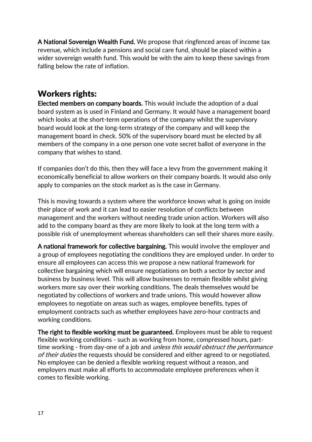A National Sovereign Wealth Fund. We propose that ringfenced areas of income tax revenue, which include a pensions and social care fund, should be placed within a wider sovereign wealth fund. This would be with the aim to keep these savings from falling below the rate of inflation.

### Workers rights:

Elected members on company boards. This would include the adoption of a dual board system as is used in Finland and Germany. It would have a management board which looks at the short-term operations of the company whilst the supervisory board would look at the long-term strategy of the company and will keep the management board in check. 50% of the supervisory board must be elected by all members of the company in a one person one vote secret ballot of everyone in the company that wishes to stand.

If companies don't do this, then they will face a levy from the government making it economically beneficial to allow workers on their company boards. It would also only apply to companies on the stock market as is the case in Germany.

This is moving towards a system where the workforce knows what is going on inside their place of work and it can lead to easier resolution of conflicts between management and the workers without needing trade union action. Workers will also add to the company board as they are more likely to look at the long term with a possible risk of unemployment whereas shareholders can sell their shares more easily.

A national framework for collective bargaining. This would involve the employer and a group of employees negotiating the conditions they are employed under. In order to ensure all employees can access this we propose a new national framework for collective bargaining which will ensure negotiations on both a sector by sector and business by business level. This will allow businesses to remain flexible whilst giving workers more say over their working conditions. The deals themselves would be negotiated by collections of workers and trade unions. This would however allow employees to negotiate on areas such as wages, employee benefits, types of employment contracts such as whether employees have zero-hour contracts and working conditions.

The right to flexible working must be guaranteed. Employees must be able to request flexible working conditions - such as working from home, compressed hours, parttime working - from day-one of a job and *unless this would obstruct the performance* of their duties the requests should be considered and either agreed to or negotiated. No employee can be denied a flexible working request without a reason, and employers must make all efforts to accommodate employee preferences when it comes to flexible working.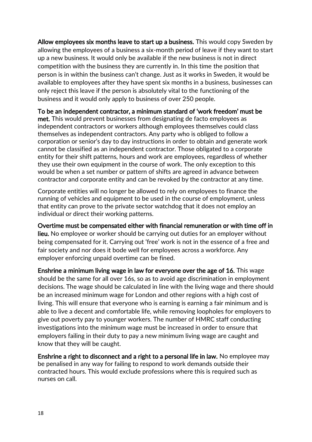Allow employees six months leave to start up a business. This would copy Sweden by allowing the employees of a business a six-month period of leave if they want to start up a new business. It would only be available if the new business is not in direct competition with the business they are currently in. In this time the position that person is in within the business can't change. Just as it works in Sweden, it would be available to employees after they have spent six months in a business, businesses can only reject this leave if the person is absolutely vital to the functioning of the business and it would only apply to business of over 250 people.

To be an independent contractor, a minimum standard of 'work freedom' must be met. This would prevent businesses from designating de facto employees as independent contractors or workers although employees themselves could class themselves as independent contractors. Any party who is obliged to follow a corporation or senior's day to day instructions in order to obtain and generate work cannot be classified as an independent contractor. Those obligated to a corporate entity for their shift patterns, hours and work are employees, regardless of whether they use their own equipment in the course of work. The only exception to this would be when a set number or pattern of shifts are agreed in advance between contractor and corporate entity and can be revoked by the contractor at any time.

Corporate entities will no longer be allowed to rely on employees to finance the running of vehicles and equipment to be used in the course of employment, unless that entity can prove to the private sector watchdog that it does not employ an individual or direct their working patterns.

Overtime must be compensated either with financial remuneration or with time off in lieu. No employee or worker should be carrying out duties for an employer without being compensated for it. Carrying out 'free' work is not in the essence of a free and fair society and nor does it bode well for employees across a workforce. Any employer enforcing unpaid overtime can be fined.

Enshrine a minimum living wage in law for everyone over the age of 16. This wage should be the same for all over 16s, so as to avoid age discrimination in employment decisions. The wage should be calculated in line with the living wage and there should be an increased minimum wage for London and other regions with a high cost of living. This will ensure that everyone who is earning is earning a fair minimum and is able to live a decent and comfortable life, while removing loopholes for employers to give out poverty pay to younger workers. The number of HMRC staff conducting investigations into the minimum wage must be increased in order to ensure that employers failing in their duty to pay a new minimum living wage are caught and know that they will be caught.

Enshrine a right to disconnect and a right to a personal life in law. No employee may be penalised in any way for failing to respond to work demands outside their contracted hours. This would exclude professions where this is required such as nurses on call.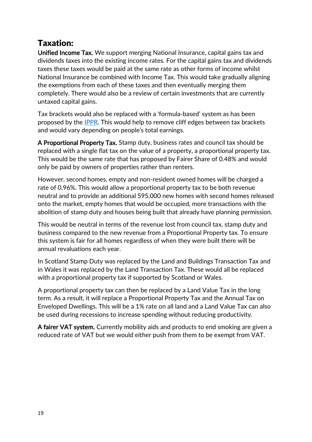# Taxation:

Unified Income Tax. We support merging National Insurance, capital gains tax and dividends taxes into the existing income rates. For the capital gains tax and dividends taxes these taxes would be paid at the same rate as other forms of income whilst National Insurance be combined with Income Tax. This would take gradually aligning the exemptions from each of these taxes and then eventually merging them completely. There would also be a review of certain investments that are currently untaxed capital gains.

Tax brackets would also be replaced with a 'formula-based' system as has been proposed by the [IPPR.](https://www.ippr.org/research/publications/tapering-over-the-tax) This would help to remove cliff edges between tax brackets and would vary depending on people's total earnings.

A Proportional Property Tax. Stamp duty, business rates and council tax should be replaced with a single flat tax on the value of a property, a proportional property tax. This would be the same rate that has proposed by Fairer Share of 0.48% and would only be paid by owners of properties rather than renters.

However, second homes, empty and non-resident owned homes will be charged a rate of 0.96%. This would allow a proportional property tax to be both revenue neutral and to provide an additional 595,000 new homes with second homes released onto the market, empty homes that would be occupied, more transactions with the abolition of stamp duty and houses being built that already have planning permission.

This would be neutral in terms of the revenue lost from council tax, stamp duty and business compared to the new revenue from a Proportional Property tax. To ensure this system is fair for all homes regardless of when they were built there will be annual revaluations each year.

In Scotland Stamp Duty was replaced by the Land and Buildings Transaction Tax and in Wales it was replaced by the Land Transaction Tax. These would all be replaced with a proportional property tax if supported by Scotland or Wales.

A proportional property tax can then be replaced by a Land Value Tax in the long term. As a result, it will replace a Proportional Property Tax and the Annual Tax on Enveloped Dwellings. This will be a 1% rate on all land and a Land Value Tax can also be used during recessions to increase spending without reducing productivity.

A fairer VAT system. Currently mobility aids and products to end smoking are given a reduced rate of VAT but we would either push from them to be exempt from VAT.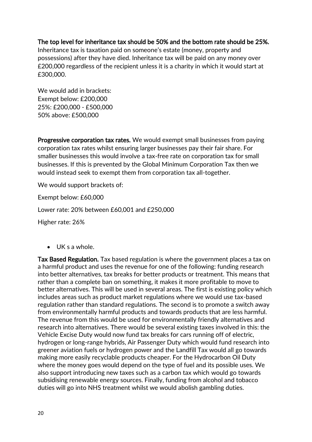#### The top level for inheritance tax should be 50% and the bottom rate should be 25%.

Inheritance tax is taxation paid on someone's estate (money, property and possessions) after they have died. Inheritance tax will be paid on any money over £200,000 regardless of the recipient unless it is a charity in which it would start at £300,000.

We would add in brackets: Exempt below: £200,000 25%: £200,000 - £500,000 50% above: £500,000

Progressive corporation tax rates. We would exempt small businesses from paying corporation tax rates whilst ensuring larger businesses pay their fair share. For smaller businesses this would involve a tax-free rate on corporation tax for small businesses. If this is prevented by the Global Minimum Corporation Tax then we would instead seek to exempt them from corporation tax all-together.

We would support brackets of:

Exempt below: £60,000

Lower rate: 20% between £60,001 and £250,000

Higher rate: 26%

• UK s a whole.

Tax Based Regulation. Tax based regulation is where the government places a tax on a harmful product and uses the revenue for one of the following: funding research into better alternatives, tax breaks for better products or treatment. This means that rather than a complete ban on something, it makes it more profitable to move to better alternatives. This will be used in several areas. The first is existing policy which includes areas such as product market regulations where we would use tax-based regulation rather than standard regulations. The second is to promote a switch away from environmentally harmful products and towards products that are less harmful. The revenue from this would be used for environmentally friendly alternatives and research into alternatives. There would be several existing taxes involved in this: the Vehicle Excise Duty would now fund tax breaks for cars running off of electric, hydrogen or long-range hybrids, Air Passenger Duty which would fund research into greener aviation fuels or hydrogen power and the Landfill Tax would all go towards making more easily recyclable products cheaper. For the Hydrocarbon Oil Duty where the money goes would depend on the type of fuel and its possible uses. We also support introducing new taxes such as a carbon tax which would go towards subsidising renewable energy sources. Finally, funding from alcohol and tobacco duties will go into NHS treatment whilst we would abolish gambling duties.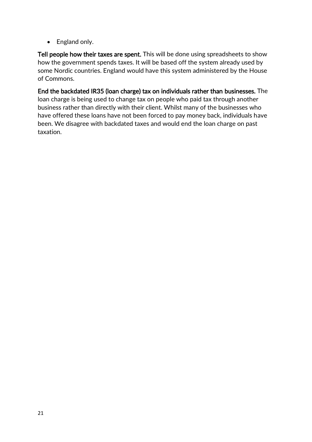• England only.

Tell people how their taxes are spent. This will be done using spreadsheets to show how the government spends taxes. It will be based off the system already used by some Nordic countries. England would have this system administered by the House of Commons.

End the backdated IR35 (loan charge) tax on individuals rather than businesses. The loan charge is being used to change tax on people who paid tax through another business rather than directly with their client. Whilst many of the businesses who have offered these loans have not been forced to pay money back, individuals have been. We disagree with backdated taxes and would end the loan charge on past taxation.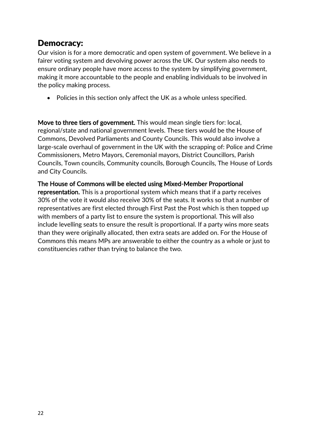#### <span id="page-21-0"></span>Democracy:

Our vision is for a more democratic and open system of government. We believe in a fairer voting system and devolving power across the UK. Our system also needs to ensure ordinary people have more access to the system by simplifying government, making it more accountable to the people and enabling individuals to be involved in the policy making process.

• Policies in this section only affect the UK as a whole unless specified.

Move to three tiers of government. This would mean single tiers for: local, regional/state and national government levels. These tiers would be the House of Commons, Devolved Parliaments and County Councils. This would also involve a large-scale overhaul of government in the UK with the scrapping of: Police and Crime Commissioners, Metro Mayors, Ceremonial mayors, District Councillors, Parish Councils, Town councils, Community councils, Borough Councils, The House of Lords and City Councils.

#### The House of Commons will be elected using Mixed-Member Proportional

representation. This is a proportional system which means that if a party receives 30% of the vote it would also receive 30% of the seats. It works so that a number of representatives are first elected through First Past the Post which is then topped up with members of a party list to ensure the system is proportional. This will also include levelling seats to ensure the result is proportional. If a party wins more seats than they were originally allocated, then extra seats are added on. For the House of Commons this means MPs are answerable to either the country as a whole or just to constituencies rather than trying to balance the two.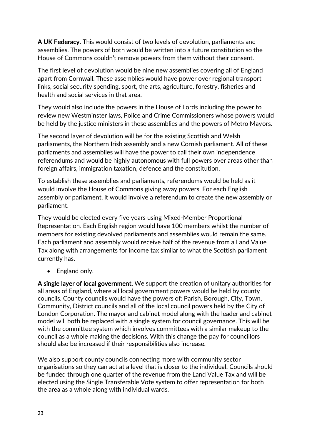A UK Federacy. This would consist of two levels of devolution, parliaments and assemblies. The powers of both would be written into a future constitution so the House of Commons couldn't remove powers from them without their consent.

The first level of devolution would be nine new assemblies covering all of England apart from Cornwall. These assemblies would have power over regional transport links, social security spending, sport, the arts, agriculture, forestry, fisheries and health and social services in that area.

They would also include the powers in the House of Lords including the power to review new Westminster laws, Police and Crime Commissioners whose powers would be held by the justice ministers in these assemblies and the powers of Metro Mayors.

The second layer of devolution will be for the existing Scottish and Welsh parliaments, the Northern Irish assembly and a new Cornish parliament. All of these parliaments and assemblies will have the power to call their own independence referendums and would be highly autonomous with full powers over areas other than foreign affairs, immigration taxation, defence and the constitution.

To establish these assemblies and parliaments, referendums would be held as it would involve the House of Commons giving away powers. For each English assembly or parliament, it would involve a referendum to create the new assembly or parliament.

They would be elected every five years using Mixed-Member Proportional Representation. Each English region would have 100 members whilst the number of members for existing devolved parliaments and assemblies would remain the same. Each parliament and assembly would receive half of the revenue from a Land Value Tax along with arrangements for income tax similar to what the Scottish parliament currently has.

• England only.

A single layer of local government. We support the creation of unitary authorities for all areas of England, where all local government powers would be held by county councils. County councils would have the powers of: Parish, Borough, City, Town, Community, District councils and all of the local council powers held by the City of London Corporation. The mayor and cabinet model along with the leader and cabinet model will both be replaced with a single system for council governance. This will be with the committee system which involves committees with a similar makeup to the council as a whole making the decisions. With this change the pay for councillors should also be increased if their responsibilities also increase.

We also support county councils connecting more with community sector organisations so they can act at a level that is closer to the individual. Councils should be funded through one quarter of the revenue from the Land Value Tax and will be elected using the Single Transferable Vote system to offer representation for both the area as a whole along with individual wards.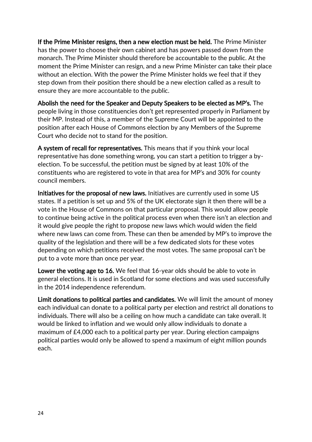If the Prime Minister resigns, then a new election must be held. The Prime Minister has the power to choose their own cabinet and has powers passed down from the monarch. The Prime Minister should therefore be accountable to the public. At the moment the Prime Minister can resign, and a new Prime Minister can take their place without an election. With the power the Prime Minister holds we feel that if they step down from their position there should be a new election called as a result to ensure they are more accountable to the public.

Abolish the need for the Speaker and Deputy Speakers to be elected as MP's. The people living in those constituencies don't get represented properly in Parliament by their MP. Instead of this, a member of the Supreme Court will be appointed to the position after each House of Commons election by any Members of the Supreme Court who decide not to stand for the position.

A system of recall for representatives. This means that if you think your local representative has done something wrong, you can start a petition to trigger a byelection. To be successful, the petition must be signed by at least 10% of the constituents who are registered to vote in that area for MP's and 30% for county council members.

Initiatives for the proposal of new laws. Initiatives are currently used in some US states. If a petition is set up and 5% of the UK electorate sign it then there will be a vote in the House of Commons on that particular proposal. This would allow people to continue being active in the political process even when there isn't an election and it would give people the right to propose new laws which would widen the field where new laws can come from. These can then be amended by MP's to improve the quality of the legislation and there will be a few dedicated slots for these votes depending on which petitions received the most votes. The same proposal can't be put to a vote more than once per year.

Lower the voting age to 16. We feel that 16-year olds should be able to vote in general elections. It is used in Scotland for some elections and was used successfully in the 2014 independence referendum.

Limit donations to political parties and candidates. We will limit the amount of money each individual can donate to a political party per election and restrict all donations to individuals. There will also be a ceiling on how much a candidate can take overall. It would be linked to inflation and we would only allow individuals to donate a maximum of £4,000 each to a political party per year. During election campaigns political parties would only be allowed to spend a maximum of eight million pounds each.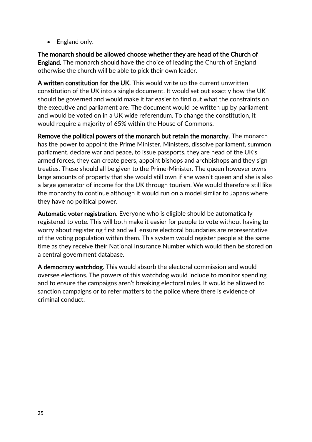• England only.

The monarch should be allowed choose whether they are head of the Church of England. The monarch should have the choice of leading the Church of England otherwise the church will be able to pick their own leader.

A written constitution for the UK. This would write up the current unwritten constitution of the UK into a single document. It would set out exactly how the UK should be governed and would make it far easier to find out what the constraints on the executive and parliament are. The document would be written up by parliament and would be voted on in a UK wide referendum. To change the constitution, it would require a majority of 65% within the House of Commons.

Remove the political powers of the monarch but retain the monarchy. The monarch has the power to appoint the Prime Minister, Ministers, dissolve parliament, summon parliament, declare war and peace, to issue passports, they are head of the UK's armed forces, they can create peers, appoint bishops and archbishops and they sign treaties. These should all be given to the Prime-Minister. The queen however owns large amounts of property that she would still own if she wasn't queen and she is also a large generator of income for the UK through tourism. We would therefore still like the monarchy to continue although it would run on a model similar to Japans where they have no political power.

Automatic voter registration. Everyone who is eligible should be automatically registered to vote. This will both make it easier for people to vote without having to worry about registering first and will ensure electoral boundaries are representative of the voting population within them. This system would register people at the same time as they receive their National Insurance Number which would then be stored on a central government database.

A democracy watchdog. This would absorb the electoral commission and would oversee elections. The powers of this watchdog would include to monitor spending and to ensure the campaigns aren't breaking electoral rules. It would be allowed to sanction campaigns or to refer matters to the police where there is evidence of criminal conduct.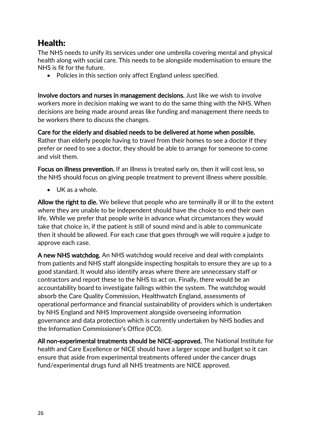# <span id="page-25-0"></span>Health:

The NHS needs to unify its services under one umbrella covering mental and physical health along with social care. This needs to be alongside modernisation to ensure the NHS is fit for the future.

• Policies in this section only affect England unless specified.

Involve doctors and nurses in management decisions. Just like we wish to involve workers more in decision making we want to do the same thing with the NHS. When decisions are being made around areas like funding and management there needs to be workers there to discuss the changes.

Care for the elderly and disabled needs to be delivered at home when possible. Rather than elderly people having to travel from their homes to see a doctor if they prefer or need to see a doctor, they should be able to arrange for someone to come and visit them.

Focus on illness prevention. If an illness is treated early on, then it will cost less, so the NHS should focus on giving people treatment to prevent illness where possible.

• UK as a whole.

Allow the right to die. We believe that people who are terminally ill or ill to the extent where they are unable to be independent should have the choice to end their own life. While we prefer that people write in advance what circumstances they would take that choice in, if the patient is still of sound mind and is able to communicate then it should be allowed. For each case that goes through we will require a judge to approve each case.

A new NHS watchdog. An NHS watchdog would receive and deal with complaints from patients and NHS staff alongside inspecting hospitals to ensure they are up to a good standard. It would also identify areas where there are unnecessary staff or contractors and report these to the NHS to act on. Finally, there would be an accountability board to investigate failings within the system. The watchdog would absorb the Care Quality Commission, Healthwatch England, assessments of operational performance and financial sustainability of providers which is undertaken by NHS England and NHS Improvement alongside overseeing information governance and data protection which is currently undertaken by NHS bodies and the Information Commissioner's Office (ICO).

All non-experimental treatments should be NICE-approved. The National Institute for health and Care Excellence or NICE should have a larger scope and budget so it can ensure that aside from experimental treatments offered under the cancer drugs fund/experimental drugs fund all NHS treatments are NICE approved.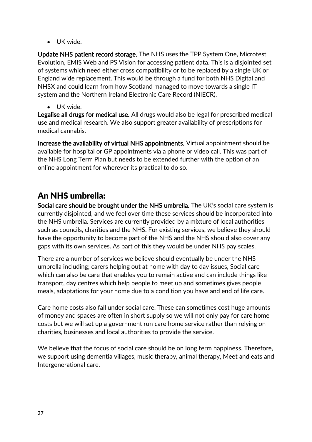• UK wide.

Update NHS patient record storage. The NHS uses the TPP System One, Microtest Evolution, EMIS Web and PS Vision for accessing patient data. This is a disjointed set of systems which need either cross compatibility or to be replaced by a single UK or England wide replacement. This would be through a fund for both NHS Digital and NHSX and could learn from how Scotland managed to move towards a single IT system and the Northern Ireland Electronic Care Record (NIECR).

• UK wide.

Legalise all drugs for medical use. All drugs would also be legal for prescribed medical use and medical research. We also support greater availability of prescriptions for medical cannabis.

Increase the availability of virtual NHS appointments. Virtual appointment should be available for hospital or GP appointments via a phone or video call. This was part of the NHS Long Term Plan but needs to be extended further with the option of an online appointment for wherever its practical to do so.

# An NHS umbrella:

Social care should be brought under the NHS umbrella. The UK's social care system is currently disjointed, and we feel over time these services should be incorporated into the NHS umbrella. Services are currently provided by a mixture of local authorities such as councils, charities and the NHS. For existing services, we believe they should have the opportunity to become part of the NHS and the NHS should also cover any gaps with its own services. As part of this they would be under NHS pay scales.

There are a number of services we believe should eventually be under the NHS umbrella including; carers helping out at home with day to day issues, Social care which can also be care that enables you to remain active and can include things like transport, day centres which help people to meet up and sometimes gives people meals, adaptations for your home due to a condition you have and end of life care.

Care home costs also fall under social care. These can sometimes cost huge amounts of money and spaces are often in short supply so we will not only pay for care home costs but we will set up a government run care home service rather than relying on charities, businesses and local authorities to provide the service.

We believe that the focus of social care should be on long term happiness. Therefore, we support using dementia villages, music therapy, animal therapy, Meet and eats and Intergenerational care.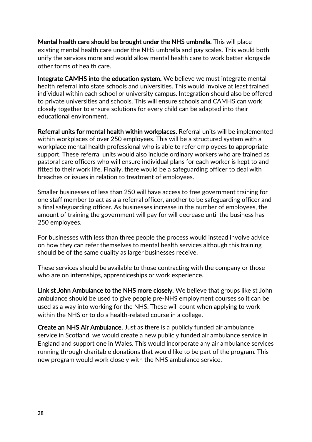Mental health care should be brought under the NHS umbrella. This will place existing mental health care under the NHS umbrella and pay scales. This would both unify the services more and would allow mental health care to work better alongside other forms of health care.

Integrate CAMHS into the education system. We believe we must integrate mental health referral into state schools and universities. This would involve at least trained individual within each school or university campus. Integration should also be offered to private universities and schools. This will ensure schools and CAMHS can work closely together to ensure solutions for every child can be adapted into their educational environment.

Referral units for mental health within workplaces. Referral units will be implemented within workplaces of over 250 employees. This will be a structured system with a workplace mental health professional who is able to refer employees to appropriate support. These referral units would also include ordinary workers who are trained as pastoral care officers who will ensure individual plans for each worker is kept to and fitted to their work life. Finally, there would be a safeguarding officer to deal with breaches or issues in relation to treatment of employees.

Smaller businesses of less than 250 will have access to free government training for one staff member to act as a a referral officer, another to be safeguarding officer and a final safeguarding officer. As businesses increase in the number of employees, the amount of training the government will pay for will decrease until the business has 250 employees.

For businesses with less than three people the process would instead involve advice on how they can refer themselves to mental health services although this training should be of the same quality as larger businesses receive.

These services should be available to those contracting with the company or those who are on internships, apprenticeships or work experience.

Link st John Ambulance to the NHS more closely. We believe that groups like st John ambulance should be used to give people pre-NHS employment courses so it can be used as a way into working for the NHS. These will count when applying to work within the NHS or to do a health-related course in a college.

Create an NHS Air Ambulance. Just as there is a publicly funded air ambulance service in Scotland, we would create a new publicly funded air ambulance service in England and support one in Wales. This would incorporate any air ambulance services running through charitable donations that would like to be part of the program. This new program would work closely with the NHS ambulance service.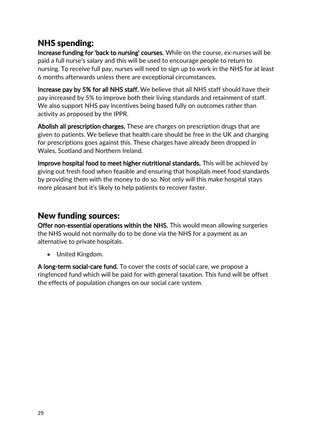# NHS spending:

Increase funding for 'back to nursing' courses. While on the course, ex-nurses will be paid a full nurse's salary and this will be used to encourage people to return to nursing. To receive full pay, nurses will need to sign up to work in the NHS for at least 6 months afterwards unless there are exceptional circumstances.

Increase pay by 5% for all NHS staff. We believe that all NHS staff should have their pay increased by 5% to improve both their living standards and retainment of staff. We also support NHS pay incentives being based fully on outcomes rather than activity as proposed by the IPPR.

Abolish all prescription charges. These are charges on prescription drugs that are given to patients. We believe that health care should be free in the UK and charging for prescriptions goes against this. These charges have already been dropped in Wales, Scotland and Northern Ireland.

Improve hospital food to meet higher nutritional standards. This will be achieved by giving out fresh food when feasible and ensuring that hospitals meet food standards by providing them with the money to do so. Not only will this make hospital stays more pleasant but it's likely to help patients to recover faster.

### New funding sources:

Offer non-essential operations within the NHS. This would mean allowing surgeries the NHS would not normally do to be done via the NHS for a payment as an alternative to private hospitals.

• United Kingdom.

A long-term social-care fund. To cover the costs of social care, we propose a ringfenced fund which will be paid for with general taxation. This fund will be offset the effects of population changes on our social care system.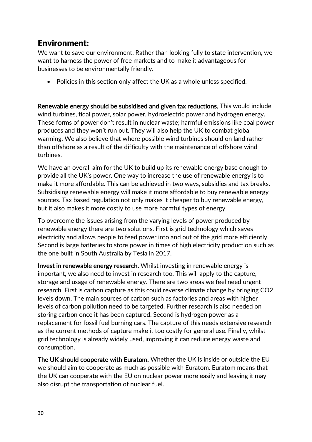# <span id="page-29-0"></span>Environment:

We want to save our environment. Rather than looking fully to state intervention, we want to harness the power of free markets and to make it advantageous for businesses to be environmentally friendly.

• Policies in this section only affect the UK as a whole unless specified.

Renewable energy should be subsidised and given tax reductions. This would include wind turbines, tidal power, solar power, hydroelectric power and hydrogen energy. These forms of power don't result in nuclear waste; harmful emissions like coal power produces and they won't run out. They will also help the UK to combat global warming. We also believe that where possible wind turbines should on land rather than offshore as a result of the difficulty with the maintenance of offshore wind turbines.

We have an overall aim for the UK to build up its renewable energy base enough to provide all the UK's power. One way to increase the use of renewable energy is to make it more affordable. This can be achieved in two ways, subsidies and tax breaks. Subsidising renewable energy will make it more affordable to buy renewable energy sources. Tax based regulation not only makes it cheaper to buy renewable energy, but it also makes it more costly to use more harmful types of energy.

To overcome the issues arising from the varying levels of power produced by renewable energy there are two solutions. First is grid technology which saves electricity and allows people to feed power into and out of the grid more efficiently. Second is large batteries to store power in times of high electricity production such as the one built in South Australia by Tesla in 2017.

Invest in renewable energy research. Whilst investing in renewable energy is important, we also need to invest in research too. This will apply to the capture, storage and usage of renewable energy. There are two areas we feel need urgent research. First is carbon capture as this could reverse climate change by bringing CO2 levels down. The main sources of carbon such as factories and areas with higher levels of carbon pollution need to be targeted. Further research is also needed on storing carbon once it has been captured. Second is hydrogen power as a replacement for fossil fuel burning cars. The capture of this needs extensive research as the current methods of capture make it too costly for general use. Finally, whilst grid technology is already widely used, improving it can reduce energy waste and consumption.

The UK should cooperate with Euratom. Whether the UK is inside or outside the EU we should aim to cooperate as much as possible with Euratom. Euratom means that the UK can cooperate with the EU on nuclear power more easily and leaving it may also disrupt the transportation of nuclear fuel.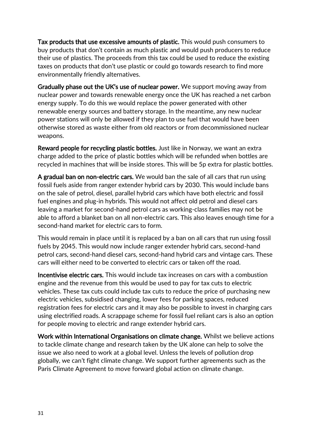Tax products that use excessive amounts of plastic. This would push consumers to buy products that don't contain as much plastic and would push producers to reduce their use of plastics. The proceeds from this tax could be used to reduce the existing taxes on products that don't use plastic or could go towards research to find more environmentally friendly alternatives.

Gradually phase out the UK's use of nuclear power. We support moving away from nuclear power and towards renewable energy once the UK has reached a net carbon energy supply. To do this we would replace the power generated with other renewable energy sources and battery storage. In the meantime, any new nuclear power stations will only be allowed if they plan to use fuel that would have been otherwise stored as waste either from old reactors or from decommissioned nuclear weapons.

Reward people for recycling plastic bottles. Just like in Norway, we want an extra charge added to the price of plastic bottles which will be refunded when bottles are recycled in machines that will be inside stores. This will be 5p extra for plastic bottles.

A gradual ban on non-electric cars. We would ban the sale of all cars that run using fossil fuels aside from ranger extender hybrid cars by 2030. This would include bans on the sale of petrol, diesel, parallel hybrid cars which have both electric and fossil fuel engines and plug-in hybrids. This would not affect old petrol and diesel cars leaving a market for second-hand petrol cars as working-class families may not be able to afford a blanket ban on all non-electric cars. This also leaves enough time for a second-hand market for electric cars to form.

This would remain in place until it is replaced by a ban on all cars that run using fossil fuels by 2045. This would now include ranger extender hybrid cars, second-hand petrol cars, second-hand diesel cars, second-hand hybrid cars and vintage cars. These cars will either need to be converted to electric cars or taken off the road.

Incentivise electric cars. This would include tax increases on cars with a combustion engine and the revenue from this would be used to pay for tax cuts to electric vehicles. These tax cuts could include tax cuts to reduce the price of purchasing new electric vehicles, subsidised changing, lower fees for parking spaces, reduced registration fees for electric cars and it may also be possible to invest in charging cars using electrified roads. A scrappage scheme for fossil fuel reliant cars is also an option for people moving to electric and range extender hybrid cars.

Work within International Organisations on climate change. Whilst we believe actions to tackle climate change and research taken by the UK alone can help to solve the issue we also need to work at a global level. Unless the levels of pollution drop globally, we can't fight climate change. We support further agreements such as the Paris Climate Agreement to move forward global action on climate change.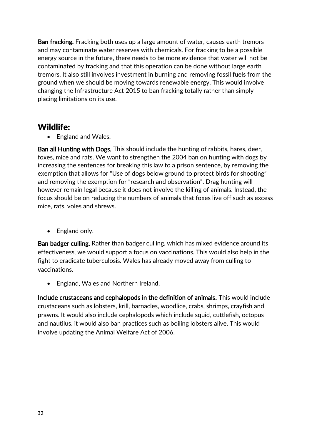Ban fracking. Fracking both uses up a large amount of water, causes earth tremors and may contaminate water reserves with chemicals. For fracking to be a possible energy source in the future, there needs to be more evidence that water will not be contaminated by fracking and that this operation can be done without large earth tremors. It also still involves investment in burning and removing fossil fuels from the ground when we should be moving towards renewable energy. This would involve changing the Infrastructure Act 2015 to ban fracking totally rather than simply placing limitations on its use.

#### Wildlife:

• England and Wales.

Ban all Hunting with Dogs. This should include the hunting of rabbits, hares, deer, foxes, mice and rats. We want to strengthen the 2004 ban on hunting with dogs by increasing the sentences for breaking this law to a prison sentence, by removing the exemption that allows for "Use of dogs below ground to protect birds for shooting" and removing the exemption for "research and observation". Drag hunting will however remain legal because it does not involve the killing of animals. Instead, the focus should be on reducing the numbers of animals that foxes live off such as excess mice, rats, voles and shrews.

• England only.

Ban badger culling. Rather than badger culling, which has mixed evidence around its effectiveness, we would support a focus on vaccinations. This would also help in the fight to eradicate tuberculosis. Wales has already moved away from culling to vaccinations.

• England, Wales and Northern Ireland.

Include crustaceans and cephalopods in the definition of animals. This would include crustaceans such as lobsters, krill, barnacles, woodlice, crabs, shrimps, crayfish and prawns. It would also include cephalopods which include squid, cuttlefish, octopus and nautilus. it would also ban practices such as boiling lobsters alive. This would involve updating the Animal Welfare Act of 2006.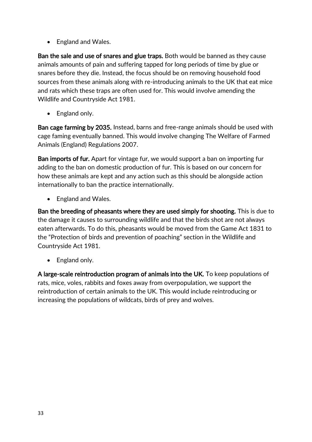• England and Wales.

Ban the sale and use of snares and glue traps. Both would be banned as they cause animals amounts of pain and suffering tapped for long periods of time by glue or snares before they die. Instead, the focus should be on removing household food sources from these animals along with re-introducing animals to the UK that eat mice and rats which these traps are often used for. This would involve amending the Wildlife and Countryside Act 1981.

• England only.

Ban cage farming by 2035. Instead, barns and free-range animals should be used with cage faming eventually banned. This would involve changing The Welfare of Farmed Animals (England) Regulations 2007.

Ban imports of fur. Apart for vintage fur, we would support a ban on importing fur adding to the ban on domestic production of fur. This is based on our concern for how these animals are kept and any action such as this should be alongside action internationally to ban the practice internationally.

• England and Wales.

Ban the breeding of pheasants where they are used simply for shooting. This is due to the damage it causes to surrounding wildlife and that the birds shot are not always eaten afterwards. To do this, pheasants would be moved from the Game Act 1831 to the "Protection of birds and prevention of poaching" section in the Wildlife and Countryside Act 1981.

• England only.

A large-scale reintroduction program of animals into the UK. To keep populations of rats, mice, voles, rabbits and foxes away from overpopulation, we support the reintroduction of certain animals to the UK. This would include reintroducing or increasing the populations of wildcats, birds of prey and wolves.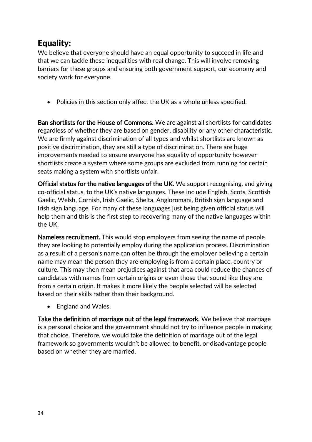# <span id="page-33-0"></span>Equality:

We believe that everyone should have an equal opportunity to succeed in life and that we can tackle these inequalities with real change. This will involve removing barriers for these groups and ensuring both government support, our economy and society work for everyone.

• Policies in this section only affect the UK as a whole unless specified.

Ban shortlists for the House of Commons. We are against all shortlists for candidates regardless of whether they are based on gender, disability or any other characteristic. We are firmly against discrimination of all types and whilst shortlists are known as positive discrimination, they are still a type of discrimination. There are huge improvements needed to ensure everyone has equality of opportunity however shortlists create a system where some groups are excluded from running for certain seats making a system with shortlists unfair.

Official status for the native languages of the UK. We support recognising, and giving co-official status, to the UK's native languages. These include English, Scots, Scottish Gaelic, Welsh, Cornish, Irish Gaelic, Shelta, Angloromani, British sign language and Irish sign language. For many of these languages just being given official status will help them and this is the first step to recovering many of the native languages within the UK.

Nameless recruitment. This would stop employers from seeing the name of people they are looking to potentially employ during the application process. Discrimination as a result of a person's name can often be through the employer believing a certain name may mean the person they are employing is from a certain place, country or culture. This may then mean prejudices against that area could reduce the chances of candidates with names from certain origins or even those that sound like they are from a certain origin. It makes it more likely the people selected will be selected based on their skills rather than their background.

• England and Wales.

Take the definition of marriage out of the legal framework. We believe that marriage is a personal choice and the government should not try to influence people in making that choice. Therefore, we would take the definition of marriage out of the legal framework so governments wouldn't be allowed to benefit, or disadvantage people based on whether they are married.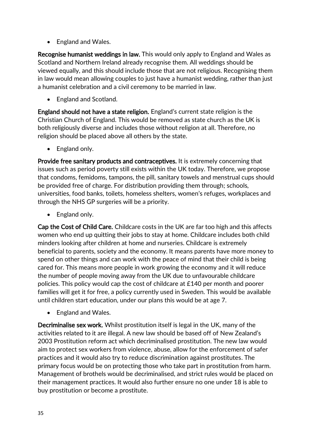• England and Wales.

Recognise humanist weddings in law. This would only apply to England and Wales as Scotland and Northern Ireland already recognise them. All weddings should be viewed equally, and this should include those that are not religious. Recognising them in law would mean allowing couples to just have a humanist wedding, rather than just a humanist celebration and a civil ceremony to be married in law.

• England and Scotland.

England should not have a state religion. England's current state religion is the Christian Church of England. This would be removed as state church as the UK is both religiously diverse and includes those without religion at all. Therefore, no religion should be placed above all others by the state.

• England only.

Provide free sanitary products and contraceptives. It is extremely concerning that issues such as period poverty still exists within the UK today. Therefore, we propose that condoms, femidoms, tampons, the pill, sanitary towels and menstrual cups should be provided free of charge. For distribution providing them through; schools, universities, food banks, toilets, homeless shelters, women's refuges, workplaces and through the NHS GP surgeries will be a priority.

• England only.

Cap the Cost of Child Care. Childcare costs in the UK are far too high and this affects women who end up quitting their jobs to stay at home. Childcare includes both child minders looking after children at home and nurseries. Childcare is extremely beneficial to parents, society and the economy. It means parents have more money to spend on other things and can work with the peace of mind that their child is being cared for. This means more people in work growing the economy and it will reduce the number of people moving away from the UK due to unfavourable childcare policies. This policy would cap the cost of childcare at £140 per month and poorer families will get it for free, a policy currently used in Sweden. This would be available until children start education, under our plans this would be at age 7.

• England and Wales.

Decriminalise sex work. Whilst prostitution itself is legal in the UK, many of the activities related to it are illegal. A new law should be based off of New Zealand's 2003 Prostitution reform act which decriminalised prostitution. The new law would aim to protect sex workers from violence, abuse, allow for the enforcement of safer practices and it would also try to reduce discrimination against prostitutes. The primary focus would be on protecting those who take part in prostitution from harm. Management of brothels would be decriminalised, and strict rules would be placed on their management practices. It would also further ensure no one under 18 is able to buy prostitution or become a prostitute.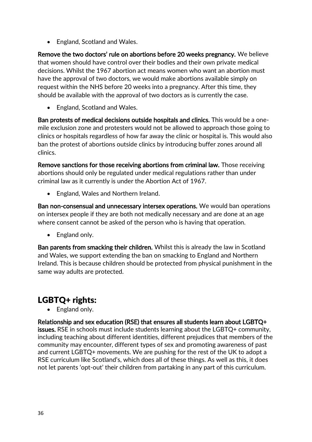• England, Scotland and Wales.

Remove the two doctors' rule on abortions before 20 weeks pregnancy. We believe that women should have control over their bodies and their own private medical decisions. Whilst the 1967 abortion act means women who want an abortion must have the approval of two doctors, we would make abortions available simply on request within the NHS before 20 weeks into a pregnancy. After this time, they should be available with the approval of two doctors as is currently the case.

• England, Scotland and Wales.

Ban protests of medical decisions outside hospitals and clinics. This would be a onemile exclusion zone and protesters would not be allowed to approach those going to clinics or hospitals regardless of how far away the clinic or hospital is. This would also ban the protest of abortions outside clinics by introducing buffer zones around all clinics.

Remove sanctions for those receiving abortions from criminal law. Those receiving abortions should only be regulated under medical regulations rather than under criminal law as it currently is under the Abortion Act of 1967.

• England, Wales and Northern Ireland.

Ban non-consensual and unnecessary intersex operations. We would ban operations on intersex people if they are both not medically necessary and are done at an age where consent cannot be asked of the person who is having that operation.

• England only.

Ban parents from smacking their children. Whilst this is already the law in Scotland and Wales, we support extending the ban on smacking to England and Northern Ireland. This is because children should be protected from physical punishment in the same way adults are protected.

# LGBTQ+ rights:

• England only.

Relationship and sex education (RSE) that ensures all students learn about LGBTQ+ issues. RSE in schools must include students learning about the LGBTQ+ community, including teaching about different identities, different prejudices that members of the community may encounter, different types of sex and promoting awareness of past and current LGBTQ+ movements. We are pushing for the rest of the UK to adopt a RSE curriculum like Scotland's, which does all of these things. As well as this, it does not let parents 'opt-out' their children from partaking in any part of this curriculum.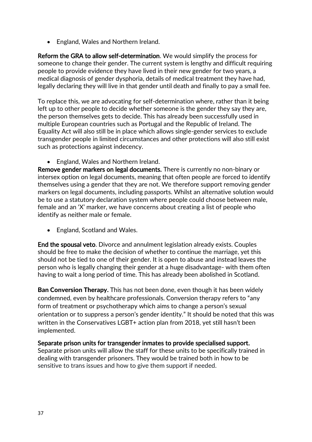• England, Wales and Northern Ireland.

Reform the GRA to allow self-determination. We would simplify the process for someone to change their gender. The current system is lengthy and difficult requiring people to provide evidence they have lived in their new gender for two years, a medical diagnosis of gender dysphoria, details of medical treatment they have had, legally declaring they will live in that gender until death and finally to pay a small fee.

To replace this, we are advocating for self-determination where, rather than it being left up to other people to decide whether someone is the gender they say they are, the person themselves gets to decide. This has already been successfully used in multiple European countries such as Portugal and the Republic of Ireland. The Equality Act will also still be in place which allows single-gender services to exclude transgender people in limited circumstances and other protections will also still exist such as protections against indecency.

• England, Wales and Northern Ireland.

Remove gender markers on legal documents. There is currently no non-binary or intersex option on legal documents, meaning that often people are forced to identify themselves using a gender that they are not. We therefore support removing gender markers on legal documents, including passports. Whilst an alternative solution would be to use a statutory declaration system where people could choose between male, female and an 'X' marker, we have concerns about creating a list of people who identify as neither male or female.

• England, Scotland and Wales.

End the spousal veto. Divorce and annulment legislation already exists. Couples should be free to make the decision of whether to continue the marriage, yet this should not be tied to one of their gender. It is open to abuse and instead leaves the person who is legally changing their gender at a huge disadvantage- with them often having to wait a long period of time. This has already been abolished in Scotland.

Ban Conversion Therapy. This has not been done, even though it has been widely condemned, even by healthcare professionals. Conversion therapy refers to "any form of treatment or psychotherapy which aims to change a person's sexual orientation or to suppress a person's gender identity." It should be noted that this was written in the Conservatives LGBT+ action plan from 2018, yet still hasn't been implemented.

Separate prison units for transgender inmates to provide specialised support. Separate prison units will allow the staff for these units to be specifically trained in dealing with transgender prisoners. They would be trained both in how to be sensitive to trans issues and how to give them support if needed.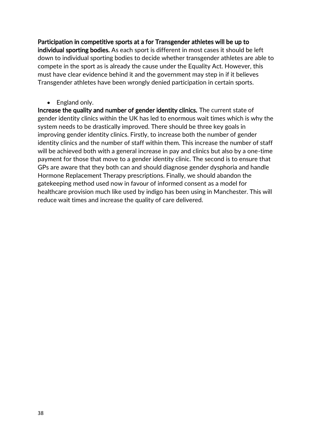Participation in competitive sports at a for Transgender athletes will be up to individual sporting bodies. As each sport is different in most cases it should be left down to individual sporting bodies to decide whether transgender athletes are able to compete in the sport as is already the cause under the Equality Act. However, this must have clear evidence behind it and the government may step in if it believes Transgender athletes have been wrongly denied participation in certain sports.

• England only.

Increase the quality and number of gender identity clinics. The current state of gender identity clinics within the UK has led to enormous wait times which is why the system needs to be drastically improved. There should be three key goals in improving gender identity clinics. Firstly, to increase both the number of gender identity clinics and the number of staff within them. This increase the number of staff will be achieved both with a general increase in pay and clinics but also by a one-time payment for those that move to a gender identity clinic. The second is to ensure that GPs are aware that they both can and should diagnose gender dysphoria and handle Hormone Replacement Therapy prescriptions. Finally, we should abandon the gatekeeping method used now in favour of informed consent as a model for healthcare provision much like used by indigo has been using in Manchester. This will reduce wait times and increase the quality of care delivered.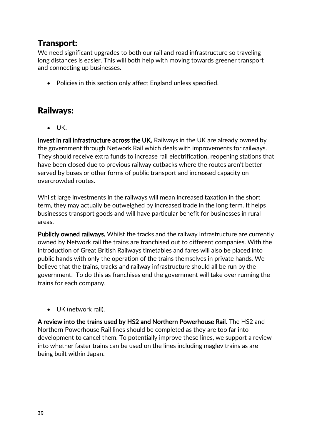### <span id="page-38-0"></span>Transport:

We need significant upgrades to both our rail and road infrastructure so traveling long distances is easier. This will both help with moving towards greener transport and connecting up businesses.

• Policies in this section only affect England unless specified.

#### Railways:

• UK.

Invest in rail infrastructure across the UK. Railways in the UK are already owned by the government through Network Rail which deals with improvements for railways. They should receive extra funds to increase rail electrification, reopening stations that have been closed due to previous railway cutbacks where the routes aren't better served by buses or other forms of public transport and increased capacity on overcrowded routes.

Whilst large investments in the railways will mean increased taxation in the short term, they may actually be outweighed by increased trade in the long term. It helps businesses transport goods and will have particular benefit for businesses in rural areas.

Publicly owned railways. Whilst the tracks and the railway infrastructure are currently owned by Network rail the trains are franchised out to different companies. With the introduction of Great British Railways timetables and fares will also be placed into public hands with only the operation of the trains themselves in private hands. We believe that the trains, tracks and railway infrastructure should all be run by the government. To do this as franchises end the government will take over running the trains for each company.

• UK (network rail).

A review into the trains used by HS2 and Northern Powerhouse Rail. The HS2 and Northern Powerhouse Rail lines should be completed as they are too far into development to cancel them. To potentially improve these lines, we support a review into whether faster trains can be used on the lines including maglev trains as are being built within Japan.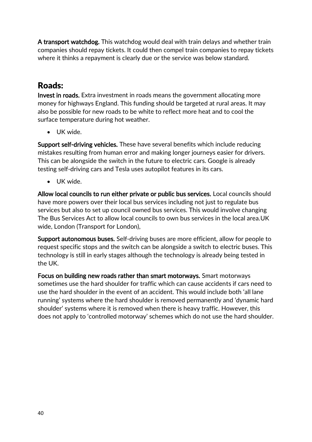A transport watchdog. This watchdog would deal with train delays and whether train companies should repay tickets. It could then compel train companies to repay tickets where it thinks a repayment is clearly due or the service was below standard.

# Roads:

Invest in roads. Extra investment in roads means the government allocating more money for highways England. This funding should be targeted at rural areas. It may also be possible for new roads to be white to reflect more heat and to cool the surface temperature during hot weather.

• UK wide.

Support self-driving vehicles. These have several benefits which include reducing mistakes resulting from human error and making longer journeys easier for drivers. This can be alongside the switch in the future to electric cars. Google is already testing self-driving cars and Tesla uses autopilot features in its cars.

• UK wide.

Allow local councils to run either private or public bus services. Local councils should have more powers over their local bus services including not just to regulate bus services but also to set up council owned bus services. This would involve changing The Bus Services Act to allow local councils to own bus services in the local area.UK wide, London (Transport for London),

Support autonomous buses. Self-driving buses are more efficient, allow for people to request specific stops and the switch can be alongside a switch to electric buses. This technology is still in early stages although the technology is already being tested in the UK.

Focus on building new roads rather than smart motorways. Smart motorways sometimes use the hard shoulder for traffic which can cause accidents if cars need to use the hard shoulder in the event of an accident. This would include both 'all lane running' systems where the hard shoulder is removed permanently and 'dynamic hard shoulder' systems where it is removed when there is heavy traffic. However, this does not apply to 'controlled motorway' schemes which do not use the hard shoulder.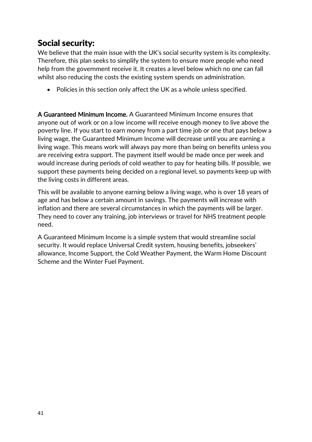#### <span id="page-40-0"></span>Social security:

We believe that the main issue with the UK's social security system is its complexity. Therefore, this plan seeks to simplify the system to ensure more people who need help from the government receive it. It creates a level below which no one can fall whilst also reducing the costs the existing system spends on administration.

• Policies in this section only affect the UK as a whole unless specified.

A Guaranteed Minimum Income. A Guaranteed Minimum Income ensures that anyone out of work or on a low income will receive enough money to live above the poverty line. If you start to earn money from a part time job or one that pays below a living wage, the Guaranteed Minimum Income will decrease until you are earning a living wage. This means work will always pay more than being on benefits unless you are receiving extra support. The payment itself would be made once per week and would increase during periods of cold weather to pay for heating bills. If possible, we support these payments being decided on a regional level, so payments keep up with the living costs in different areas.

This will be available to anyone earning below a living wage, who is over 18 years of age and has below a certain amount in savings. The payments will increase with inflation and there are several circumstances in which the payments will be larger. They need to cover any training, job interviews or travel for NHS treatment people need.

A Guaranteed Minimum Income is a simple system that would streamline social security. It would replace Universal Credit system, housing benefits, jobseekers' allowance, Income Support, the Cold Weather Payment, the Warm Home Discount Scheme and the Winter Fuel Payment.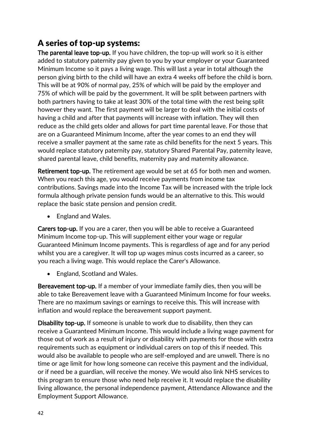# A series of top-up systems:

The parental leave top-up. If you have children, the top-up will work so it is either added to statutory paternity pay given to you by your employer or your Guaranteed Minimum Income so it pays a living wage. This will last a year in total although the person giving birth to the child will have an extra 4 weeks off before the child is born. This will be at 90% of normal pay, 25% of which will be paid by the employer and 75% of which will be paid by the government. It will be split between partners with both partners having to take at least 30% of the total time with the rest being split however they want. The first payment will be larger to deal with the initial costs of having a child and after that payments will increase with inflation. They will then reduce as the child gets older and allows for part time parental leave. For those that are on a Guaranteed Minimum Income, after the year comes to an end they will receive a smaller payment at the same rate as child benefits for the next 5 years. This would replace statutory paternity pay, statutory Shared Parental Pay, paternity leave, shared parental leave, child benefits, maternity pay and maternity allowance.

Retirement top-up. The retirement age would be set at 65 for both men and women. When you reach this age, you would receive payments from income tax contributions. Savings made into the Income Tax will be increased with the triple lock formula although private pension funds would be an alternative to this. This would replace the basic state pension and pension credit.

• England and Wales.

Carers top-up. If you are a carer, then you will be able to receive a Guaranteed Minimum Income top-up. This will supplement either your wage or regular Guaranteed Minimum Income payments. This is regardless of age and for any period whilst you are a caregiver. It will top up wages minus costs incurred as a career, so you reach a living wage. This would replace the Carer's Allowance.

• England, Scotland and Wales.

Bereavement top-up. If a member of your immediate family dies, then you will be able to take Bereavement leave with a Guaranteed Minimum Income for four weeks. There are no maximum savings or earnings to receive this. This will increase with inflation and would replace the bereavement support payment.

Disability top-up. If someone is unable to work due to disability, then they can receive a Guaranteed Minimum Income. This would include a living wage payment for those out of work as a result of injury or disability with payments for those with extra requirements such as equipment or individual carers on top of this if needed. This would also be available to people who are self-employed and are unwell. There is no time or age limit for how long someone can receive this payment and the individual, or if need be a guardian, will receive the money. We would also link NHS services to this program to ensure those who need help receive it. It would replace the disability living allowance, the personal independence payment, Attendance Allowance and the Employment Support Allowance.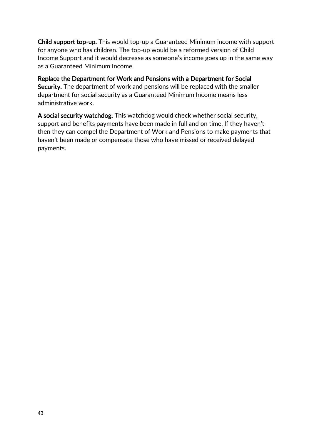Child support top-up. This would top-up a Guaranteed Minimum income with support for anyone who has children. The top-up would be a reformed version of Child Income Support and it would decrease as someone's income goes up in the same way as a Guaranteed Minimum Income.

Replace the Department for Work and Pensions with a Department for Social Security. The department of work and pensions will be replaced with the smaller department for social security as a Guaranteed Minimum Income means less administrative work.

A social security watchdog. This watchdog would check whether social security, support and benefits payments have been made in full and on time. If they haven't then they can compel the Department of Work and Pensions to make payments that haven't been made or compensate those who have missed or received delayed payments.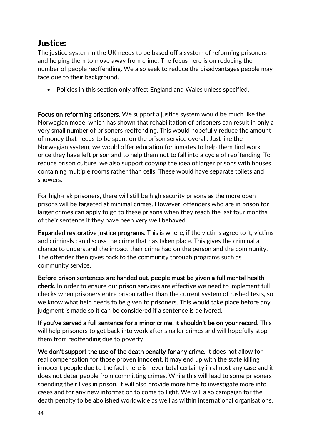### <span id="page-43-0"></span>Justice:

The justice system in the UK needs to be based off a system of reforming prisoners and helping them to move away from crime. The focus here is on reducing the number of people reoffending. We also seek to reduce the disadvantages people may face due to their background.

• Policies in this section only affect England and Wales unless specified.

Focus on reforming prisoners. We support a justice system would be much like the Norwegian model which has shown that rehabilitation of prisoners can result in only a very small number of prisoners reoffending. This would hopefully reduce the amount of money that needs to be spent on the prison service overall. Just like the Norwegian system, we would offer education for inmates to help them find work once they have left prison and to help them not to fall into a cycle of reoffending. To reduce prison culture, we also support copying the idea of larger prisons with houses containing multiple rooms rather than cells. These would have separate toilets and showers.

For high-risk prisoners, there will still be high security prisons as the more open prisons will be targeted at minimal crimes. However, offenders who are in prison for larger crimes can apply to go to these prisons when they reach the last four months of their sentence if they have been very well behaved.

Expanded restorative justice programs. This is where, if the victims agree to it, victims and criminals can discuss the crime that has taken place. This gives the criminal a chance to understand the impact their crime had on the person and the community. The offender then gives back to the community through programs such as community service.

Before prison sentences are handed out, people must be given a full mental health check. In order to ensure our prison services are effective we need to implement full checks when prisoners entre prison rather than the current system of rushed tests, so we know what help needs to be given to prisoners. This would take place before any judgment is made so it can be considered if a sentence is delivered.

If you've served a full sentence for a minor crime, it shouldn't be on your record. This will help prisoners to get back into work after smaller crimes and will hopefully stop them from reoffending due to poverty.

We don't support the use of the death penalty for any crime. It does not allow for real compensation for those proven innocent, it may end up with the state killing innocent people due to the fact there is never total certainty in almost any case and it does not deter people from committing crimes. While this will lead to some prisoners spending their lives in prison, it will also provide more time to investigate more into cases and for any new information to come to light. We will also campaign for the death penalty to be abolished worldwide as well as within international organisations.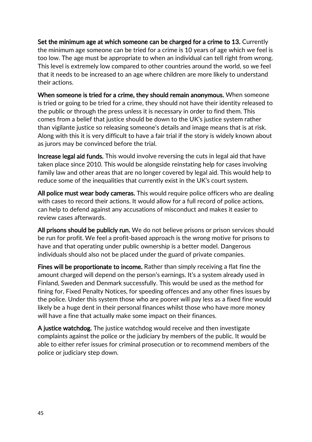Set the minimum age at which someone can be charged for a crime to 13. Currently the minimum age someone can be tried for a crime is 10 years of age which we feel is too low. The age must be appropriate to when an individual can tell right from wrong. This level is extremely low compared to other countries around the world, so we feel that it needs to be increased to an age where children are more likely to understand their actions.

When someone is tried for a crime, they should remain anonymous. When someone is tried or going to be tried for a crime, they should not have their identity released to the public or through the press unless it is necessary in order to find them. This comes from a belief that justice should be down to the UK's justice system rather than vigilante justice so releasing someone's details and image means that is at risk. Along with this it is very difficult to have a fair trial if the story is widely known about as jurors may be convinced before the trial.

Increase legal aid funds. This would involve reversing the cuts in legal aid that have taken place since 2010. This would be alongside reinstating help for cases involving family law and other areas that are no longer covered by legal aid. This would help to reduce some of the inequalities that currently exist in the UK's court system.

All police must wear body cameras. This would require police officers who are dealing with cases to record their actions. It would allow for a full record of police actions, can help to defend against any accusations of misconduct and makes it easier to review cases afterwards.

All prisons should be publicly run. We do not believe prisons or prison services should be run for profit. We feel a profit-based approach is the wrong motive for prisons to have and that operating under public ownership is a better model. Dangerous individuals should also not be placed under the guard of private companies.

Fines will be proportionate to income. Rather than simply receiving a flat fine the amount charged will depend on the person's earnings. It's a system already used in Finland, Sweden and Denmark successfully. This would be used as the method for fining for, Fixed Penalty Notices, for speeding offences and any other fines issues by the police. Under this system those who are poorer will pay less as a fixed fine would likely be a huge dent in their personal finances whilst those who have more money will have a fine that actually make some impact on their finances.

A justice watchdog. The justice watchdog would receive and then investigate complaints against the police or the judiciary by members of the public. It would be able to either refer issues for criminal prosecution or to recommend members of the police or judiciary step down.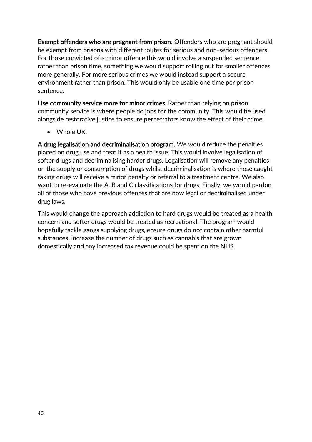Exempt offenders who are pregnant from prison. Offenders who are pregnant should be exempt from prisons with different routes for serious and non-serious offenders. For those convicted of a minor offence this would involve a suspended sentence rather than prison time, something we would support rolling out for smaller offences more generally. For more serious crimes we would instead support a secure environment rather than prison. This would only be usable one time per prison sentence.

Use community service more for minor crimes. Rather than relying on prison community service is where people do jobs for the community. This would be used alongside restorative justice to ensure perpetrators know the effect of their crime.

• Whole UK.

A drug legalisation and decriminalisation program. We would reduce the penalties placed on drug use and treat it as a health issue. This would involve legalisation of softer drugs and decriminalising harder drugs. Legalisation will remove any penalties on the supply or consumption of drugs whilst decriminalisation is where those caught taking drugs will receive a minor penalty or referral to a treatment centre. We also want to re-evaluate the A, B and C classifications for drugs. Finally, we would pardon all of those who have previous offences that are now legal or decriminalised under drug laws.

This would change the approach addiction to hard drugs would be treated as a health concern and softer drugs would be treated as recreational. The program would hopefully tackle gangs supplying drugs, ensure drugs do not contain other harmful substances, increase the number of drugs such as cannabis that are grown domestically and any increased tax revenue could be spent on the NHS.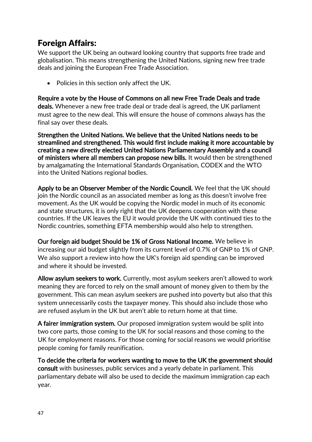# <span id="page-46-0"></span>Foreign Affairs:

We support the UK being an outward looking country that supports free trade and globalisation. This means strengthening the United Nations, signing new free trade deals and joining the European Free Trade Association.

• Policies in this section only affect the UK.

Require a vote by the House of Commons on all new Free Trade Deals and trade deals. Whenever a new free trade deal or trade deal is agreed, the UK parliament must agree to the new deal. This will ensure the house of commons always has the final say over these deals.

Strengthen the United Nations. We believe that the United Nations needs to be streamlined and strengthened. This would first include making it more accountable by creating a new directly elected United Nations Parliamentary Assembly and a council of ministers where all members can propose new bills. It would then be strengthened by amalgamating the International Standards Organisation, CODEX and the WTO into the United Nations regional bodies.

Apply to be an Observer Member of the Nordic Council. We feel that the UK should join the Nordic council as an associated member as long as this doesn't involve free movement. As the UK would be copying the Nordic model in much of its economic and state structures, it is only right that the UK deepens cooperation with these countries. If the UK leaves the EU it would provide the UK with continued ties to the Nordic countries, something EFTA membership would also help to strengthen.

Our foreign aid budget Should be 1% of Gross National Income. We believe in increasing our aid budget slightly from its current level of 0.7% of GNP to 1% of GNP. We also support a review into how the UK's foreign aid spending can be improved and where it should be invested.

Allow asylum seekers to work. Currently, most asylum seekers aren't allowed to work meaning they are forced to rely on the small amount of money given to them by the government. This can mean asylum seekers are pushed into poverty but also that this system unnecessarily costs the taxpayer money. This should also include those who are refused asylum in the UK but aren't able to return home at that time.

A fairer immigration system. Our proposed immigration system would be split into two core parts, those coming to the UK for social reasons and those coming to the UK for employment reasons. For those coming for social reasons we would prioritise people coming for family reunification.

To decide the criteria for workers wanting to move to the UK the government should consult with businesses, public services and a yearly debate in parliament. This parliamentary debate will also be used to decide the maximum immigration cap each year.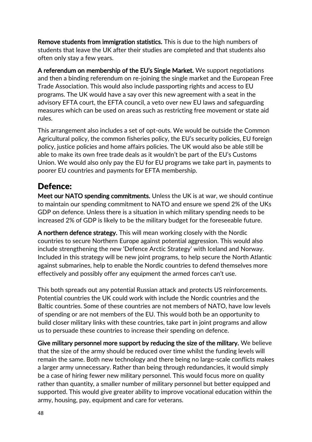Remove students from immigration statistics. This is due to the high numbers of students that leave the UK after their studies are completed and that students also often only stay a few years.

A referendum on membership of the EU's Single Market. We support negotiations and then a binding referendum on re-joining the single market and the European Free Trade Association. This would also include passporting rights and access to EU programs. The UK would have a say over this new agreement with a seat in the advisory EFTA court, the EFTA council, a veto over new EU laws and safeguarding measures which can be used on areas such as restricting free movement or state aid rules.

This arrangement also includes a set of opt-outs. We would be outside the Common Agricultural policy, the common fisheries policy, the EU's security policies, EU foreign policy, justice policies and home affairs policies. The UK would also be able still be able to make its own free trade deals as it wouldn't be part of the EU's Customs Union. We would also only pay the EU for EU programs we take part in, payments to poorer EU countries and payments for EFTA membership.

#### Defence:

Meet our NATO spending commitments. Unless the UK is at war, we should continue to maintain our spending commitment to NATO and ensure we spend 2% of the UKs GDP on defence. Unless there is a situation in which military spending needs to be increased 2% of GDP is likely to be the military budget for the foreseeable future.

A northern defence strategy. This will mean working closely with the Nordic countries to secure Northern Europe against potential aggression. This would also include strengthening the new 'Defence Arctic Strategy' with Iceland and Norway. Included in this strategy will be new joint programs, to help secure the North Atlantic against submarines, help to enable the Nordic countries to defend themselves more effectively and possibly offer any equipment the armed forces can't use.

This both spreads out any potential Russian attack and protects US reinforcements. Potential countries the UK could work with include the Nordic countries and the Baltic countries. Some of these countries are not members of NATO, have low levels of spending or are not members of the EU. This would both be an opportunity to build closer military links with these countries, take part in joint programs and allow us to persuade these countries to increase their spending on defence.

Give military personnel more support by reducing the size of the military. We believe that the size of the army should be reduced over time whilst the funding levels will remain the same. Both new technology and there being no large-scale conflicts makes a larger army unnecessary. Rather than being through redundancies, it would simply be a case of hiring fewer new military personnel. This would focus more on quality rather than quantity, a smaller number of military personnel but better equipped and supported. This would give greater ability to improve vocational education within the army, housing, pay, equipment and care for veterans.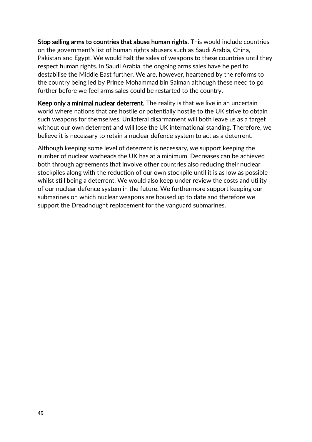Stop selling arms to countries that abuse human rights. This would include countries on the government's list of human rights abusers such as Saudi Arabia, China, Pakistan and Egypt. We would halt the sales of weapons to these countries until they respect human rights. In Saudi Arabia, the ongoing arms sales have helped to destabilise the Middle East further. We are, however, heartened by the reforms to the country being led by Prince Mohammad bin Salman although these need to go further before we feel arms sales could be restarted to the country.

Keep only a minimal nuclear deterrent. The reality is that we live in an uncertain world where nations that are hostile or potentially hostile to the UK strive to obtain such weapons for themselves. Unilateral disarmament will both leave us as a target without our own deterrent and will lose the UK international standing. Therefore, we believe it is necessary to retain a nuclear defence system to act as a deterrent.

Although keeping some level of deterrent is necessary, we support keeping the number of nuclear warheads the UK has at a minimum. Decreases can be achieved both through agreements that involve other countries also reducing their nuclear stockpiles along with the reduction of our own stockpile until it is as low as possible whilst still being a deterrent. We would also keep under review the costs and utility of our nuclear defence system in the future. We furthermore support keeping our submarines on which nuclear weapons are housed up to date and therefore we support the Dreadnought replacement for the vanguard submarines.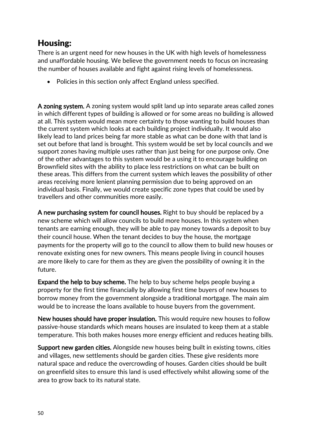# <span id="page-49-0"></span>Housing:

There is an urgent need for new houses in the UK with high levels of homelessness and unaffordable housing. We believe the government needs to focus on increasing the number of houses available and fight against rising levels of homelessness.

• Policies in this section only affect England unless specified.

A zoning system. A zoning system would split land up into separate areas called zones in which different types of building is allowed or for some areas no building is allowed at all. This system would mean more certainty to those wanting to build houses than the current system which looks at each building project individually. It would also likely lead to land prices being far more stable as what can be done with that land is set out before that land is brought. This system would be set by local councils and we support zones having multiple uses rather than just being for one purpose only. One of the other advantages to this system would be a using it to encourage building on Brownfield sites with the ability to place less restrictions on what can be built on these areas. This differs from the current system which leaves the possibility of other areas receiving more lenient planning permission due to being approved on an individual basis. Finally, we would create specific zone types that could be used by travellers and other communities more easily.

A new purchasing system for council houses. Right to buy should be replaced by a new scheme which will allow councils to build more houses. In this system when tenants are earning enough, they will be able to pay money towards a deposit to buy their council house. When the tenant decides to buy the house, the mortgage payments for the property will go to the council to allow them to build new houses or renovate existing ones for new owners. This means people living in council houses are more likely to care for them as they are given the possibility of owning it in the future.

Expand the help to buy scheme. The help to buy scheme helps people buying a property for the first time financially by allowing first time buyers of new houses to borrow money from the government alongside a traditional mortgage. The main aim would be to increase the loans available to house buyers from the government.

New houses should have proper insulation. This would require new houses to follow passive-house standards which means houses are insulated to keep them at a stable temperature. This both makes houses more energy efficient and reduces heating bills.

Support new garden cities. Alongside new houses being built in existing towns, cities and villages, new settlements should be garden cities. These give residents more natural space and reduce the overcrowding of houses. Garden cities should be built on greenfield sites to ensure this land is used effectively whilst allowing some of the area to grow back to its natural state.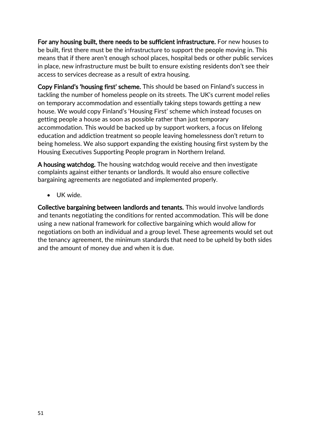For any housing built, there needs to be sufficient infrastructure. For new houses to be built, first there must be the infrastructure to support the people moving in. This means that if there aren't enough school places, hospital beds or other public services in place, new infrastructure must be built to ensure existing residents don't see their access to services decrease as a result of extra housing.

Copy Finland's 'housing first' scheme. This should be based on Finland's success in tackling the number of homeless people on its streets. The UK's current model relies on temporary accommodation and essentially taking steps towards getting a new house. We would copy Finland's 'Housing First' scheme which instead focuses on getting people a house as soon as possible rather than just temporary accommodation. This would be backed up by support workers, a focus on lifelong education and addiction treatment so people leaving homelessness don't return to being homeless. We also support expanding the existing housing first system by the Housing Executives Supporting People program in Northern Ireland.

A housing watchdog. The housing watchdog would receive and then investigate complaints against either tenants or landlords. It would also ensure collective bargaining agreements are negotiated and implemented properly.

• UK wide.

Collective bargaining between landlords and tenants. This would involve landlords and tenants negotiating the conditions for rented accommodation. This will be done using a new national framework for collective bargaining which would allow for negotiations on both an individual and a group level. These agreements would set out the tenancy agreement, the minimum standards that need to be upheld by both sides and the amount of money due and when it is due.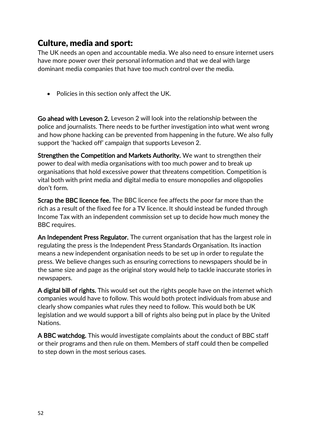#### <span id="page-51-0"></span>Culture, media and sport:

The UK needs an open and accountable media. We also need to ensure internet users have more power over their personal information and that we deal with large dominant media companies that have too much control over the media.

• Policies in this section only affect the UK.

Go ahead with Leveson 2. Leveson 2 will look into the relationship between the police and journalists. There needs to be further investigation into what went wrong and how phone hacking can be prevented from happening in the future. We also fully support the 'hacked off' campaign that supports Leveson 2.

Strengthen the Competition and Markets Authority. We want to strengthen their power to deal with media organisations with too much power and to break up organisations that hold excessive power that threatens competition. Competition is vital both with print media and digital media to ensure monopolies and oligopolies don't form.

**Scrap the BBC licence fee.** The BBC licence fee affects the poor far more than the rich as a result of the fixed fee for a TV licence. It should instead be funded through Income Tax with an independent commission set up to decide how much money the BBC requires.

An Independent Press Regulator. The current organisation that has the largest role in regulating the press is the Independent Press Standards Organisation. Its inaction means a new independent organisation needs to be set up in order to regulate the press. We believe changes such as ensuring corrections to newspapers should be in the same size and page as the original story would help to tackle inaccurate stories in newspapers.

A digital bill of rights. This would set out the rights people have on the internet which companies would have to follow. This would both protect individuals from abuse and clearly show companies what rules they need to follow. This would both be UK legislation and we would support a bill of rights also being put in place by the United Nations.

A BBC watchdog. This would investigate complaints about the conduct of BBC staff or their programs and then rule on them. Members of staff could then be compelled to step down in the most serious cases.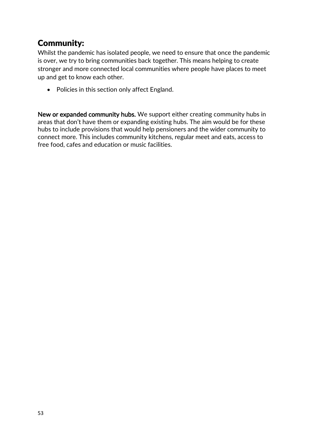# <span id="page-52-0"></span>Community:

Whilst the pandemic has isolated people, we need to ensure that once the pandemic is over, we try to bring communities back together. This means helping to create stronger and more connected local communities where people have places to meet up and get to know each other.

• Policies in this section only affect England.

New or expanded community hubs. We support either creating community hubs in areas that don't have them or expanding existing hubs. The aim would be for these hubs to include provisions that would help pensioners and the wider community to connect more. This includes community kitchens, regular meet and eats, access to free food, cafes and education or music facilities.